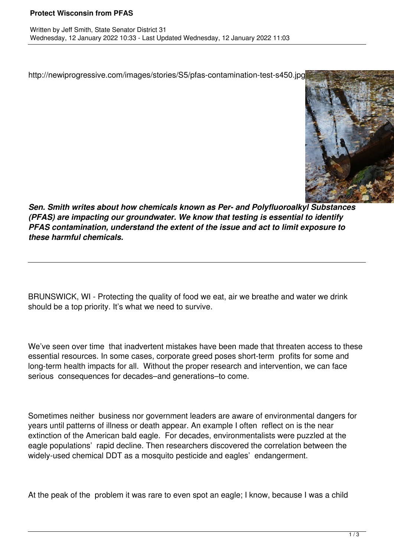http://newiprogressive.com/images/stories/S5/pfas-contamination-test-s450.jpg



*Sen. Smith writes about how chemicals known as Per- and Polyfluoroalkyl Substances (PFAS) are impacting our groundwater. We know that testing is essential to identify PFAS contamination, understand the extent of the issue and act to limit exposure to these harmful chemicals.*

BRUNSWICK, WI - Protecting the quality of food we eat, air we breathe and water we drink should be a top priority. It's what we need to survive.

We've seen over time that inadvertent mistakes have been made that threaten access to these essential resources. In some cases, corporate greed poses short-term profits for some and long-term health impacts for all. Without the proper research and intervention, we can face serious consequences for decades–and generations–to come.

Sometimes neither business nor government leaders are aware of environmental dangers for years until patterns of illness or death appear. An example I often reflect on is the near extinction of the American bald eagle. For decades, environmentalists were puzzled at the eagle populations' rapid decline. Then researchers discovered the correlation between the widely-used chemical DDT as a mosquito pesticide and eagles' endangerment.

At the peak of the problem it was rare to even spot an eagle; I know, because I was a child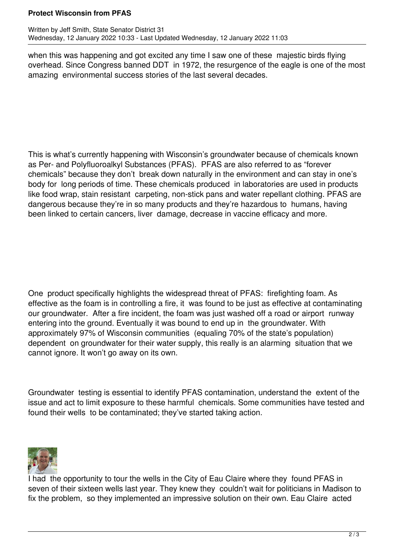## **Protect Wisconsin from PFAS**

when this was happening and got excited any time I saw one of these majestic birds flying overhead. Since Congress banned DDT in 1972, the resurgence of the eagle is one of the most amazing environmental success stories of the last several decades.

This is what's currently happening with Wisconsin's groundwater because of chemicals known as Per- and Polyfluoroalkyl Substances (PFAS). PFAS are also referred to as "forever chemicals" because they don't break down naturally in the environment and can stay in one's body for long periods of time. These chemicals produced in laboratories are used in products like food wrap, stain resistant carpeting, non-stick pans and water repellant clothing. PFAS are dangerous because they're in so many products and they're hazardous to humans, having been linked to certain cancers, liver damage, decrease in vaccine efficacy and more.

One product specifically highlights the widespread threat of PFAS: firefighting foam. As effective as the foam is in controlling a fire, it was found to be just as effective at contaminating our groundwater. After a fire incident, the foam was just washed off a road or airport runway entering into the ground. Eventually it was bound to end up in the groundwater. With approximately 97% of Wisconsin communities (equaling 70% of the state's population) dependent on groundwater for their water supply, this really is an alarming situation that we cannot ignore. It won't go away on its own.

Groundwater testing is essential to identify PFAS contamination, understand the extent of the issue and act to limit exposure to these harmful chemicals. Some communities have tested and found their wells to be contaminated; they've started taking action.



I had the opportunity to tour the wells in the City of Eau Claire where they found PFAS in seven of their sixteen wells last year. They knew they couldn't wait for politicians in Madison to fix the problem, so they implemented an impressive solution on their own. Eau Claire acted